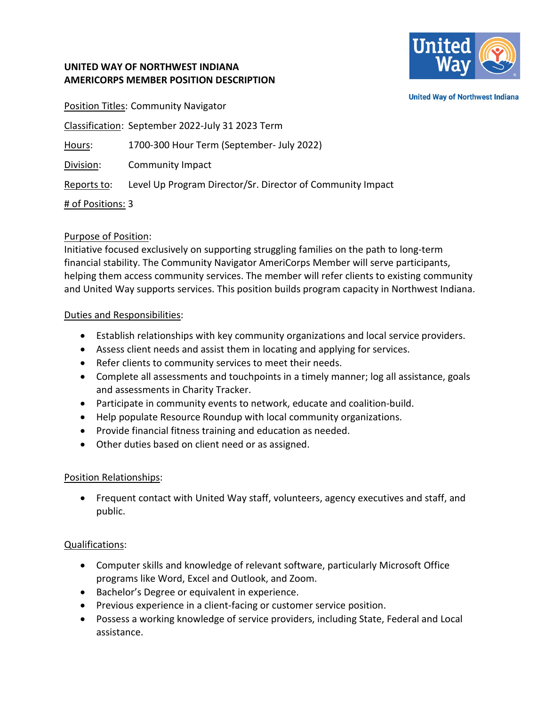

**United Way of Northwest Indiana** 

# **UNITED WAY OF NORTHWEST INDIANA AMERICORPS MEMBER POSITION DESCRIPTION**

**Position Titles: Community Navigator** Classification: September 2022-July 31 2023 Term Hours: 1700-300 Hour Term (September- July 2022) Division: Community Impact Reports to: Level Up Program Director/Sr. Director of Community Impact # of Positions: 3

#### Purpose of Position:

Initiative focused exclusively on supporting struggling families on the path to long-term financial stability. The Community Navigator AmeriCorps Member will serve participants, helping them access community services. The member will refer clients to existing community and United Way supports services. This position builds program capacity in Northwest Indiana.

#### Duties and Responsibilities:

- Establish relationships with key community organizations and local service providers.
- Assess client needs and assist them in locating and applying for services.
- Refer clients to community services to meet their needs.
- Complete all assessments and touchpoints in a timely manner; log all assistance, goals and assessments in Charity Tracker.
- Participate in community events to network, educate and coalition-build.
- Help populate Resource Roundup with local community organizations.
- Provide financial fitness training and education as needed.
- Other duties based on client need or as assigned.

# Position Relationships:

• Frequent contact with United Way staff, volunteers, agency executives and staff, and public.

# Qualifications:

- Computer skills and knowledge of relevant software, particularly Microsoft Office programs like Word, Excel and Outlook, and Zoom.
- Bachelor's Degree or equivalent in experience.
- Previous experience in a client-facing or customer service position.
- Possess a working knowledge of service providers, including State, Federal and Local assistance.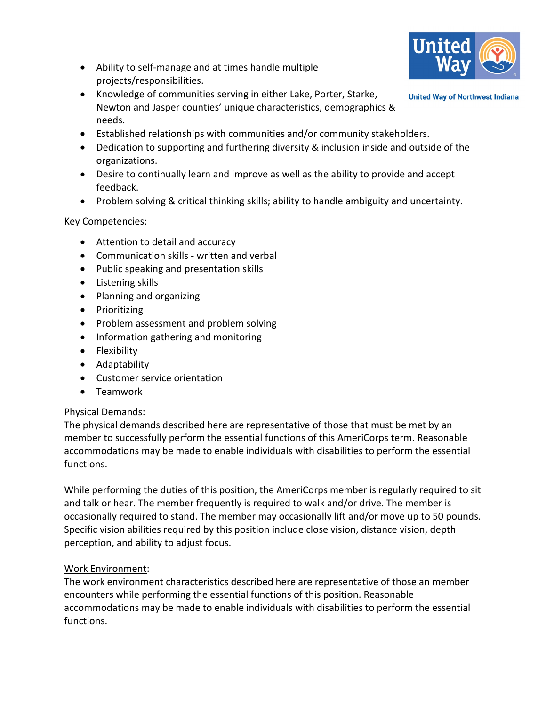

**United Way of Northwest Indiana** 

- Ability to self-manage and at times handle multiple projects/responsibilities.
- Knowledge of communities serving in either Lake, Porter, Starke, Newton and Jasper counties' unique characteristics, demographics & needs.
- Established relationships with communities and/or community stakeholders.
- Dedication to supporting and furthering diversity & inclusion inside and outside of the organizations.
- Desire to continually learn and improve as well as the ability to provide and accept feedback.
- Problem solving & critical thinking skills; ability to handle ambiguity and uncertainty.

# Key Competencies:

- Attention to detail and accuracy
- Communication skills written and verbal
- Public speaking and presentation skills
- Listening skills
- Planning and organizing
- Prioritizing
- Problem assessment and problem solving
- Information gathering and monitoring
- Flexibility
- Adaptability
- Customer service orientation
- Teamwork

# Physical Demands:

The physical demands described here are representative of those that must be met by an member to successfully perform the essential functions of this AmeriCorps term. Reasonable accommodations may be made to enable individuals with disabilities to perform the essential functions.

While performing the duties of this position, the AmeriCorps member is regularly required to sit and talk or hear. The member frequently is required to walk and/or drive. The member is occasionally required to stand. The member may occasionally lift and/or move up to 50 pounds. Specific vision abilities required by this position include close vision, distance vision, depth perception, and ability to adjust focus.

# Work Environment:

The work environment characteristics described here are representative of those an member encounters while performing the essential functions of this position. Reasonable accommodations may be made to enable individuals with disabilities to perform the essential functions.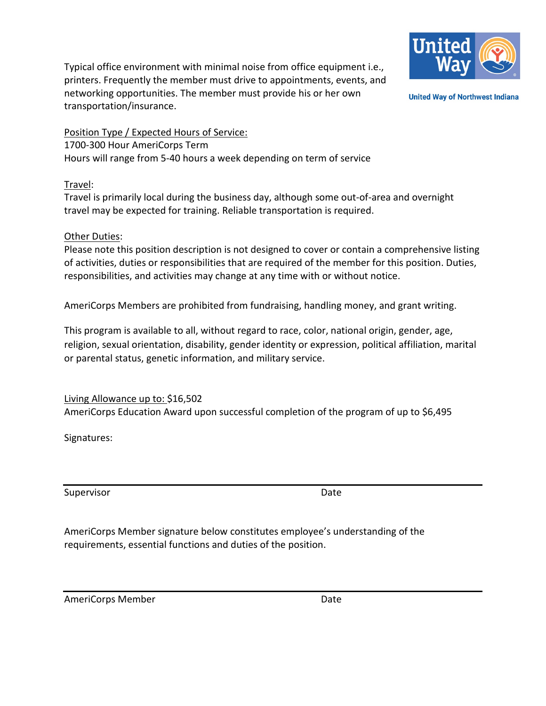Typical office environment with minimal noise from office equipment i.e., printers. Frequently the member must drive to appointments, events, and networking opportunities. The member must provide his or her own transportation/insurance.



**United Way of Northwest Indiana** 

Position Type / Expected Hours of Service: 1700-300 Hour AmeriCorps Term Hours will range from 5-40 hours a week depending on term of service

#### Travel:

Travel is primarily local during the business day, although some out-of-area and overnight travel may be expected for training. Reliable transportation is required.

#### Other Duties:

Please note this position description is not designed to cover or contain a comprehensive listing of activities, duties or responsibilities that are required of the member for this position. Duties, responsibilities, and activities may change at any time with or without notice.

AmeriCorps Members are prohibited from fundraising, handling money, and grant writing.

This program is available to all, without regard to race, color, national origin, gender, age, religion, sexual orientation, disability, gender identity or expression, political affiliation, marital or parental status, genetic information, and military service.

Living Allowance up to: \$16,502 AmeriCorps Education Award upon successful completion of the program of up to \$6,495

Signatures:

Supervisor **Date** 

AmeriCorps Member signature below constitutes employee's understanding of the requirements, essential functions and duties of the position.

AmeriCorps Member **Date**